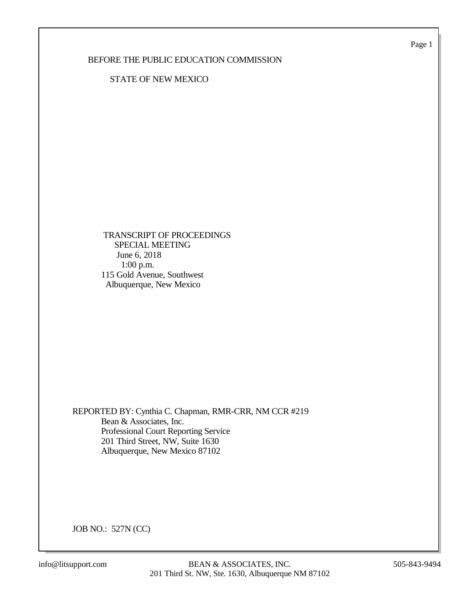Page 1

## BEFORE THE PUBLIC EDUCATION COMMISSION

## STATE OF NEW MEXICO

 TRANSCRIPT OF PROCEEDINGS SPECIAL MEETING June 6, 2018 1:00 p.m. 115 Gold Avenue, Southwest Albuquerque, New Mexico

REPORTED BY: Cynthia C. Chapman, RMR-CRR, NM CCR #219 Bean & Associates, Inc. Professional Court Reporting Service 201 Third Street, NW, Suite 1630 Albuquerque, New Mexico 87102

JOB NO.: 527N (CC)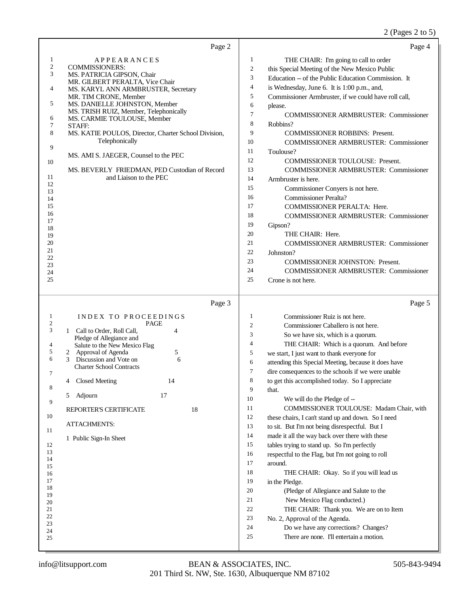## 2 (Pages 2 to 5)

| Page 2                                                                                                                                                                                                                                                                                                                                                                                                                                                                                                                       | Page 4                                                                                                                                                                                                                                                                                                                                                                                                                                                                                                                                                                                                                                                                                                                                                                                                                                                                                                                                                                                                                                                                                                                                                                                               |
|------------------------------------------------------------------------------------------------------------------------------------------------------------------------------------------------------------------------------------------------------------------------------------------------------------------------------------------------------------------------------------------------------------------------------------------------------------------------------------------------------------------------------|------------------------------------------------------------------------------------------------------------------------------------------------------------------------------------------------------------------------------------------------------------------------------------------------------------------------------------------------------------------------------------------------------------------------------------------------------------------------------------------------------------------------------------------------------------------------------------------------------------------------------------------------------------------------------------------------------------------------------------------------------------------------------------------------------------------------------------------------------------------------------------------------------------------------------------------------------------------------------------------------------------------------------------------------------------------------------------------------------------------------------------------------------------------------------------------------------|
| $\mathbf{1}$<br><b>APPEARANCES</b><br>$\boldsymbol{2}$<br>COMMISSIONERS:<br>3<br>MS. PATRICIA GIPSON, Chair<br>MR. GILBERT PERALTA, Vice Chair<br>$\overline{4}$<br>MS. KARYL ANN ARMBRUSTER, Secretary<br>MR. TIM CRONE, Member<br>5<br>MS. DANIELLE JOHNSTON, Member<br>MS. TRISH RUIZ, Member, Telephonically<br>6<br>MS. CARMIE TOULOUSE, Member<br>7<br>STAFF:<br>8<br>MS. KATIE POULOS, Director, Charter School Division,<br>Telephonically<br>9                                                                      | 1<br>THE CHAIR: I'm going to call to order<br>$\overline{c}$<br>this Special Meeting of the New Mexico Public<br>3<br>Education -- of the Public Education Commission. It<br>4<br>is Wednesday, June 6. It is 1:00 p.m., and,<br>5<br>Commissioner Armbruster, if we could have roll call,<br>6<br>please.<br>7<br><b>COMMISSIONER ARMBRUSTER: Commissioner</b><br>8<br>Robbins?<br>9<br><b>COMMISSIONER ROBBINS: Present.</b><br>10<br><b>COMMISSIONER ARMBRUSTER: Commissioner</b><br>11                                                                                                                                                                                                                                                                                                                                                                                                                                                                                                                                                                                                                                                                                                           |
| MS. AMI S. JAEGER, Counsel to the PEC<br>10<br>MS. BEVERLY FRIEDMAN, PED Custodian of Record<br>11<br>and Liaison to the PEC<br>12<br>13<br>14<br>15<br>16<br>17<br>18<br>19<br>20<br>21<br>22<br>23<br>24<br>25                                                                                                                                                                                                                                                                                                             | Toulouse?<br>12<br><b>COMMISSIONER TOULOUSE: Present.</b><br>13<br><b>COMMISSIONER ARMBRUSTER: Commissioner</b><br>14<br>Armbruster is here.<br>15<br>Commissioner Conyers is not here.<br>16<br><b>Commissioner Peralta?</b><br>17<br><b>COMMISSIONER PERALTA: Here.</b><br>18<br>COMMISSIONER ARMBRUSTER: Commissioner<br>19<br>Gipson?<br>20<br>THE CHAIR: Here.<br>21<br><b>COMMISSIONER ARMBRUSTER: Commissioner</b><br>$22\,$<br>Johnston?<br>23<br><b>COMMISSIONER JOHNSTON: Present.</b><br>24<br><b>COMMISSIONER ARMBRUSTER: Commissioner</b><br>25<br>Crone is not here.                                                                                                                                                                                                                                                                                                                                                                                                                                                                                                                                                                                                                   |
| Page 3                                                                                                                                                                                                                                                                                                                                                                                                                                                                                                                       | Page 5                                                                                                                                                                                                                                                                                                                                                                                                                                                                                                                                                                                                                                                                                                                                                                                                                                                                                                                                                                                                                                                                                                                                                                                               |
| 1<br>INDEX TO PROCEEDINGS<br>2<br>PAGE<br>3<br>4<br>1 Call to Order, Roll Call,<br>Pledge of Allegiance and<br>4<br>Salute to the New Mexico Flag<br>5<br>2 Approval of Agenda<br>5<br>6<br>$\mathfrak{Z}$<br>Discussion and Vote on<br>6<br><b>Charter School Contracts</b><br>7<br>4 Closed Meeting<br>14<br>8<br>17<br>Adjourn<br>5<br>9<br>18<br>REPORTER'S CERTIFICATE<br>10<br><b>ATTACHMENTS:</b><br>11<br>1 Public Sign-In Sheet<br>12<br>13<br>14<br>15<br>16<br>17<br>18<br>19<br>20<br>21<br>22<br>23<br>24<br>25 | $\mathbf{1}$<br>Commissioner Ruiz is not here.<br>2<br>Commissioner Caballero is not here.<br>3<br>So we have six, which is a quorum.<br>4<br>THE CHAIR: Which is a quorum. And before<br>5<br>we start, I just want to thank everyone for<br>6<br>attending this Special Meeting, because it does have<br>7<br>dire consequences to the schools if we were unable<br>8<br>to get this accomplished today. So I appreciate<br>9<br>that.<br>10<br>We will do the Pledge of --<br>COMMISSIONER TOULOUSE: Madam Chair, with<br>11<br>12<br>these chairs, I can't stand up and down. So I need<br>13<br>to sit. But I'm not being disrespectful. But I<br>14<br>made it all the way back over there with these<br>15<br>tables trying to stand up. So I'm perfectly<br>16<br>respectful to the Flag, but I'm not going to roll<br>17<br>around.<br>18<br>THE CHAIR: Okay. So if you will lead us<br>19<br>in the Pledge.<br>20<br>(Pledge of Allegiance and Salute to the<br>21<br>New Mexico Flag conducted.)<br>22<br>THE CHAIR: Thank you. We are on to Item<br>23<br>No. 2, Approval of the Agenda.<br>24<br>Do we have any corrections? Changes?<br>25<br>There are none. I'll entertain a motion. |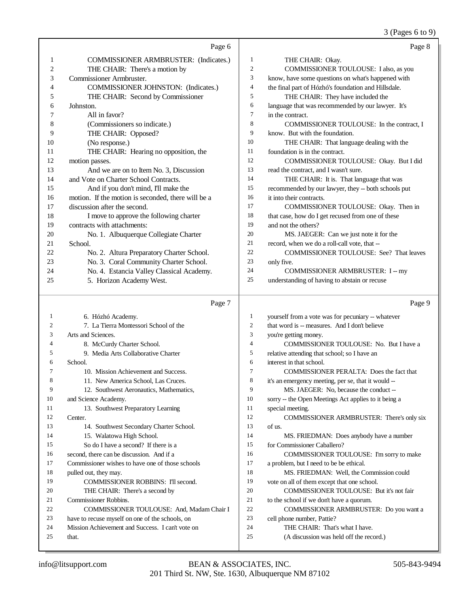3 (Pages 6 to 9)

|    | Page 6                                             |                | Page 8                                              |
|----|----------------------------------------------------|----------------|-----------------------------------------------------|
| 1  | COMMISSIONER ARMBRUSTER: (Indicates.)              | 1              | THE CHAIR: Okay.                                    |
| 2  | THE CHAIR: There's a motion by                     | $\overline{2}$ | COMMISSIONER TOULOUSE: I also, as you               |
| 3  | Commissioner Armbruster.                           | 3              | know, have some questions on what's happened with   |
| 4  | COMMISSIONER JOHNSTON: (Indicates.)                | 4              | the final part of Hózhó's foundation and Hillsdale. |
| 5  | THE CHAIR: Second by Commissioner                  | 5              | THE CHAIR: They have included the                   |
| 6  | Johnston.                                          | 6              | language that was recommended by our lawyer. It's   |
| 7  | All in favor?                                      | $\tau$         | in the contract.                                    |
| 8  | (Commissioners so indicate.)                       | 8              | COMMISSIONER TOULOUSE: In the contract, I           |
| 9  | THE CHAIR: Opposed?                                | 9              | know. But with the foundation.                      |
| 10 | (No response.)                                     | 10             | THE CHAIR: That language dealing with the           |
| 11 | THE CHAIR: Hearing no opposition, the              | 11             | foundation is in the contract.                      |
| 12 | motion passes.                                     | 12             | COMMISSIONER TOULOUSE: Okay. But I did              |
| 13 | And we are on to Item No. 3, Discussion            | 13             | read the contract, and I wasn't sure.               |
| 14 | and Vote on Charter School Contracts.              | 14             | THE CHAIR: It is. That language that was            |
| 15 | And if you don't mind, I'll make the               | 15             | recommended by our lawyer, they -- both schools put |
| 16 | motion. If the motion is seconded, there will be a | 16             | it into their contracts.                            |
| 17 | discussion after the second.                       | 17             | COMMISSIONER TOULOUSE: Okay. Then in                |
| 18 | I move to approve the following charter            | 18             | that case, how do I get recused from one of these   |
| 19 | contracts with attachments:                        | 19             | and not the others?                                 |
| 20 | No. 1. Albuquerque Collegiate Charter              | 20             | MS. JAEGER: Can we just note it for the             |
| 21 | School.                                            | 21             | record, when we do a roll-call vote, that --        |
| 22 | No. 2. Altura Preparatory Charter School.          | 22             | <b>COMMISSIONER TOULOUSE: See? That leaves</b>      |
| 23 | No. 3. Coral Community Charter School.             | 23             | only five.                                          |
| 24 | No. 4. Estancia Valley Classical Academy.          | 24             | <b>COMMISSIONER ARMBRUSTER: I -- my</b>             |
| 25 | 5. Horizon Academy West.                           | 25             | understanding of having to abstain or recuse        |
|    | Page 7                                             |                | Page 9                                              |
| 1  | 6. Hózhó Academy.                                  | 1              | yourself from a vote was for pecuniary -- whatever  |
| っ  | 7 Le Tierre Montessori School of the               | $\mathcal{D}$  | that word is measures And Ldon't believe            |

7. La Tierra Montessori School of the Arts and Sciences. 8. McCurdy Charter School. 9. Media Arts Collaborative Charter School. 10. Mission Achievement and Success. 8 11. New America School, Las Cruces. 12. Southwest Aeronautics, Mathematics, and Science Academy. 11 13. Southwest Preparatory Learning Center. 14. Southwest Secondary Charter School. 15. Walatowa High School. So do I have a second? If there is a second, there can be discussion. And if a Commissioner wishes to have one of those schools pulled out, they may. 19 COMMISSIONER ROBBINS: I'll second. THE CHAIR: There's a second by Commissioner Robbins. 22 COMMISSIONER TOULOUSE: And, Madam Chair I have to recuse myself on one of the schools, on Mission Achievement and Success. I can't vote on that. that word is -- measures. And I don't believe you're getting money. COMMISSIONER TOULOUSE: No. But I have a relative attending that school; so I have an interest in that school. COMMISSIONER PERALTA: Does the fact that it's an emergency meeting, per se, that it would -- MS. JAEGER: No, because the conduct -- sorry -- the Open Meetings Act applies to it being a special meeting. COMMISSIONER ARMBRUSTER: There's only six of us. MS. FRIEDMAN: Does anybody have a number for Commissioner Caballero? COMMISSIONER TOULOUSE: I'm sorry to make 17 a problem, but I need to be be ethical. MS. FRIEDMAN: Well, the Commission could vote on all of them except that one school. COMMISSIONER TOULOUSE: But it's not fair to the school if we don't have a quorum. COMMISSIONER ARMBRUSTER: Do you want a cell phone number, Pattie? THE CHAIR: That's what I have. (A discussion was held off the record.)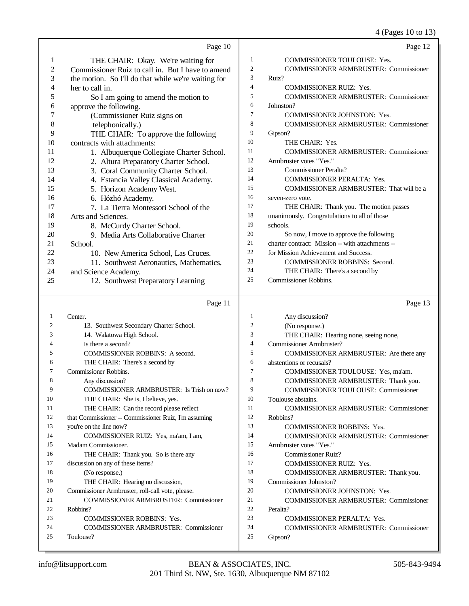4 (Pages 10 to 13)

|                |                                                      |                     | ح∾ ۲۰ '<br>UU 1 U 1 U 1 U                         |
|----------------|------------------------------------------------------|---------------------|---------------------------------------------------|
|                | Page 10                                              |                     | Page 12                                           |
| 1              | THE CHAIR: Okay. We're waiting for                   | 1                   | COMMISSIONER TOULOUSE: Yes.                       |
| $\mathfrak{2}$ | Commissioner Ruiz to call in. But I have to amend    | $\overline{c}$      | <b>COMMISSIONER ARMBRUSTER: Commissioner</b>      |
| 3              | the motion. So I'll do that while we're waiting for  | 3                   | Ruiz?                                             |
| 4              | her to call in.                                      | $\overline{4}$      | <b>COMMISSIONER RUIZ: Yes.</b>                    |
| 5              | So I am going to amend the motion to                 | 5                   | <b>COMMISSIONER ARMBRUSTER: Commissioner</b>      |
| 6              | approve the following.                               | 6                   | Johnston?                                         |
| 7              | (Commissioner Ruiz signs on                          | $\tau$              | <b>COMMISSIONER JOHNSTON: Yes.</b>                |
| 8              | telephonically.)                                     | 8                   | <b>COMMISSIONER ARMBRUSTER: Commissioner</b>      |
| 9              | THE CHAIR: To approve the following                  | 9                   | Gipson?                                           |
| 10             | contracts with attachments:                          | 10                  | THE CHAIR: Yes.                                   |
| 11             | 1. Albuquerque Collegiate Charter School.            | 11                  | <b>COMMISSIONER ARMBRUSTER: Commissioner</b>      |
| 12             | 2. Altura Preparatory Charter School.                | 12                  | Armbruster votes "Yes."                           |
| 13             | 3. Coral Community Charter School.                   | 13                  | <b>Commissioner Peralta?</b>                      |
| 14             | 4. Estancia Valley Classical Academy.                | 14                  | <b>COMMISSIONER PERALTA: Yes.</b>                 |
| 15             | 5. Horizon Academy West.                             | 15                  | COMMISSIONER ARMBRUSTER: That will be a           |
| 16             | 6. Hózhó Academy.                                    | 16                  | seven-zero vote.                                  |
| 17             | 7. La Tierra Montessori School of the                | 17                  | THE CHAIR: Thank you. The motion passes           |
| 18             | Arts and Sciences.                                   | 18                  | unanimously. Congratulations to all of those      |
| 19             | 8. McCurdy Charter School.                           | 19                  | schools.                                          |
| 20             | 9. Media Arts Collaborative Charter                  | 20                  | So now, I move to approve the following           |
| 21             | School.                                              | 21                  | charter contract: Mission -- with attachments --  |
| 22             | 10. New America School, Las Cruces.                  | 22                  | for Mission Achievement and Success.              |
| 23             | 11. Southwest Aeronautics, Mathematics,              | 23                  | <b>COMMISSIONER ROBBINS: Second.</b>              |
| 24             | and Science Academy.                                 | 24                  | THE CHAIR: There's a second by                    |
| 25             | 12. Southwest Preparatory Learning                   | 25                  | <b>Commissioner Robbins.</b>                      |
|                |                                                      |                     |                                                   |
|                |                                                      |                     |                                                   |
|                | Page 11                                              |                     | Page 13                                           |
|                |                                                      |                     |                                                   |
| 1<br>2         | Center.                                              | $\mathbf{1}$        | Any discussion?                                   |
| 3              | 13. Southwest Secondary Charter School.              | $\overline{c}$      | (No response.)                                    |
| 4              | 14. Walatowa High School.                            | 3<br>$\overline{4}$ | THE CHAIR: Hearing none, seeing none,             |
| 5              | Is there a second?                                   | 5                   | Commissioner Armbruster?                          |
| 6              | <b>COMMISSIONER ROBBINS: A second.</b>               | 6                   | COMMISSIONER ARMBRUSTER: Are there any            |
| 7              | THE CHAIR: There's a second by                       | $\tau$              | abstentions or recusals?                          |
|                | Commissioner Robbins.                                |                     | COMMISSIONER TOULOUSE: Yes, ma'am.                |
| 8<br>9         | Any discussion?                                      | 8                   | COMMISSIONER ARMBRUSTER: Thank you.               |
|                | COMMISSIONER ARMBRUSTER: Is Trish on now?            | 9                   | COMMISSIONER TOULOUSE: Commissioner               |
| 10             | THE CHAIR: She is, I believe, yes.                   | 10                  | Toulouse abstains.                                |
| 11             | THE CHAIR: Can the record please reflect             | 11                  | <b>COMMISSIONER ARMBRUSTER: Commissioner</b>      |
| 12             | that Commissioner -- Commissioner Ruiz, I'm assuming | 12                  | Robbins?                                          |
| 13<br>14       | you're on the line now?                              | 13<br>14            | <b>COMMISSIONER ROBBINS: Yes.</b>                 |
| 15             | COMMISSIONER RUIZ: Yes, ma'am, I am,                 | 15                  | <b>COMMISSIONER ARMBRUSTER: Commissioner</b>      |
| 16             | Madam Commissioner.                                  | 16                  | Armbruster votes "Yes."                           |
| 17             | THE CHAIR: Thank you. So is there any                | 17                  | <b>Commissioner Ruiz?</b>                         |
| 18             | discussion on any of these items?                    | 18                  | COMMISSIONER RUIZ: Yes.                           |
|                | (No response.)                                       |                     | COMMISSIONER ARMBRUSTER: Thank you.               |
| 19<br>20       | THE CHAIR: Hearing no discussion,                    | 19<br>20            | Commissioner Johnston?                            |
| 21             | Commissioner Armbruster, roll-call vote, please.     | 21                  | COMMISSIONER JOHNSTON: Yes.                       |
| 22             | <b>COMMISSIONER ARMBRUSTER: Commissioner</b>         | 22                  | COMMISSIONER ARMBRUSTER: Commissioner<br>Peralta? |
| 23             | Robbins?<br><b>COMMISSIONER ROBBINS: Yes.</b>        | 23                  | <b>COMMISSIONER PERALTA: Yes.</b>                 |
| 24             | <b>COMMISSIONER ARMBRUSTER: Commissioner</b>         | 24                  | <b>COMMISSIONER ARMBRUSTER: Commissioner</b>      |
| 25             | Toulouse?                                            | 25                  | Gipson?                                           |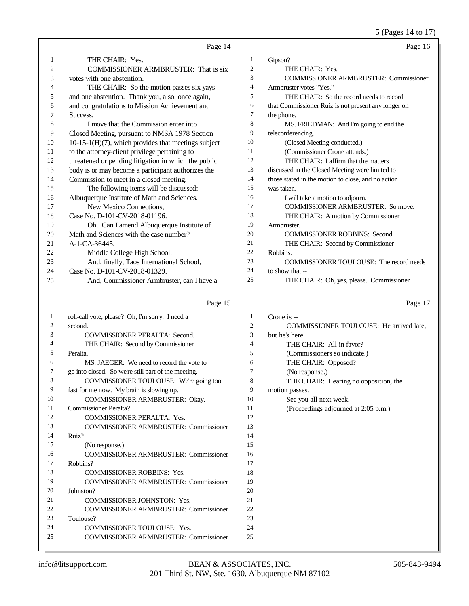|    |                                                        |                | 5 (Pages 14 to 17)                                  |
|----|--------------------------------------------------------|----------------|-----------------------------------------------------|
|    | Page 14                                                |                | Page 16                                             |
| 1  | THE CHAIR: Yes.                                        | $\mathbf{1}$   | Gipson?                                             |
| 2  | COMMISSIONER ARMBRUSTER: That is six                   | $\mathfrak{2}$ | THE CHAIR: Yes.                                     |
| 3  | votes with one abstention.                             | 3              | <b>COMMISSIONER ARMBRUSTER: Commissioner</b>        |
| 4  | THE CHAIR: So the motion passes six yays               | 4              | Armbruster votes "Yes."                             |
| 5  | and one abstention. Thank you, also, once again,       | 5              | THE CHAIR: So the record needs to record            |
| 6  | and congratulations to Mission Achievement and         | 6              | that Commissioner Ruiz is not present any longer on |
| 7  | Success.                                               | 7              | the phone.                                          |
| 8  | I move that the Commission enter into                  | 8              | MS. FRIEDMAN: And I'm going to end the              |
| 9  | Closed Meeting, pursuant to NMSA 1978 Section          | 9              | teleconferencing.                                   |
| 10 | $10-15-1(H)(7)$ , which provides that meetings subject | 10             | (Closed Meeting conducted.)                         |
| 11 | to the attorney-client privilege pertaining to         | 11             | (Commissioner Crone attends.)                       |
| 12 | threatened or pending litigation in which the public   | 12             | THE CHAIR: I affirm that the matters                |
| 13 | body is or may become a participant authorizes the     | 13             | discussed in the Closed Meeting were limited to     |
| 14 | Commission to meet in a closed meeting.                | 14             | those stated in the motion to close, and no action  |
| 15 | The following items will be discussed:                 | 15             | was taken.                                          |
| 16 | Albuquerque Institute of Math and Sciences.            | 16             | I will take a motion to adjourn.                    |
| 17 | New Mexico Connections,                                | 17             | COMMISSIONER ARMBRUSTER: So move.                   |
| 18 | Case No. D-101-CV-2018-01196.                          | 18             | THE CHAIR: A motion by Commissioner                 |
| 19 | Oh. Can I amend Albuquerque Institute of               | 19             | Armbruster.                                         |
| 20 | Math and Sciences with the case number?                | 20             | COMMISSIONER ROBBINS: Second.                       |
| 21 | A-1-CA-36445.                                          | 21             | THE CHAIR: Second by Commissioner                   |
| 22 | Middle College High School.                            | 22             | Robbins.                                            |
| 23 | And, finally, Taos International School,               | 23             | COMMISSIONER TOULOUSE: The record needs             |
| 24 | Case No. D-101-CV-2018-01329.                          | 24             | to show that --                                     |
| 25 | And, Commissioner Armbruster, can I have a             | 25             | THE CHAIR: Oh, yes, please. Commissioner            |
|    | Page 15                                                |                | Page 17                                             |
| 1  | roll-call vote, please? Oh, I'm sorry. I need a        | $\mathbf{1}$   | Crone is --                                         |
| 2  | second.                                                | 2              | COMMISSIONER TOULOUSE: He arrived late,             |
| 3  | COMMISSIONER PERALTA: Second.                          | 3              | but he's here.                                      |
| 4  | THE CHAIR: Second by Commissioner                      | $\overline{4}$ | THE CHAIR: All in favor?                            |
| 5  | Peralta.                                               | 5              | (Commissioners so indicate.)                        |
| 6  | MS. JAEGER: We need to record the vote to              | 6              | THE CHAIR: Opposed?                                 |
| 7  | go into closed. So we're still part of the meeting     | 7              | (No response.)                                      |
| 8  | COMMISSIONER TOULOUSE: We're going too                 | 8              | THE CHAIR: Hearing no opposition, the               |
| 9  | fast for me now. My brain is slowing up.               | 9              | motion passes.                                      |
| 10 | COMMISSIONER ARMBRUSTER: Okay.                         | 10             | See you all next week.                              |
| 11 | Commissioner Peralta?                                  | 11             | (Proceedings adjourned at 2:05 p.m.)                |
| 12 | COMMISSIONER PERALTA: Yes.                             | 12             |                                                     |
| 13 | <b>COMMISSIONER ARMBRUSTER: Commissioner</b>           | 13             |                                                     |
| 14 | Ruiz?                                                  | 14             |                                                     |
| 15 | (No response.)                                         | 15             |                                                     |
| 16 | <b>COMMISSIONER ARMBRUSTER: Commissioner</b>           | 16             |                                                     |
| 17 | Robbins?                                               | 17             |                                                     |
| 18 | COMMISSIONER ROBBINS: Yes.                             | 18             |                                                     |
| 19 | <b>COMMISSIONER ARMBRUSTER: Commissioner</b>           | 19             |                                                     |
| 20 | Johnston?                                              | 20             |                                                     |
| 21 | COMMISSIONER JOHNSTON: Yes.                            | 21             |                                                     |
| 22 | <b>COMMISSIONER ARMBRUSTER: Commissioner</b>           | 22             |                                                     |

Toulouse?

COMMISSIONER TOULOUSE: Yes.

COMMISSIONER ARMBRUSTER: Commissioner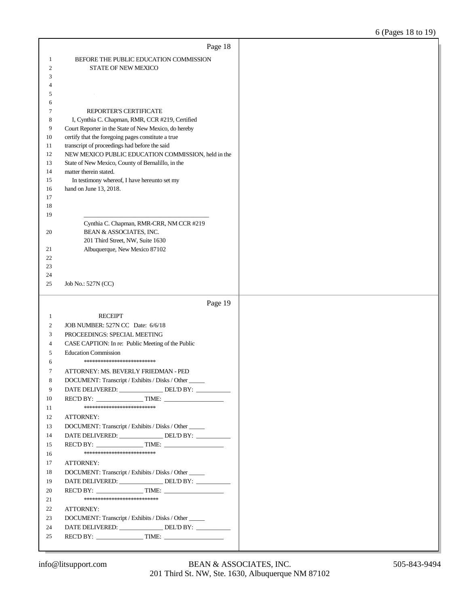|                | Page 18                                                                                                    |  |
|----------------|------------------------------------------------------------------------------------------------------------|--|
| 1              | BEFORE THE PUBLIC EDUCATION COMMISSION                                                                     |  |
| $\mathfrak{2}$ | STATE OF NEW MEXICO                                                                                        |  |
| 3              |                                                                                                            |  |
| 4              |                                                                                                            |  |
| 5              | $\sim$                                                                                                     |  |
| 6              |                                                                                                            |  |
| 7              | REPORTER'S CERTIFICATE                                                                                     |  |
| 8              | I, Cynthia C. Chapman, RMR, CCR #219, Certified                                                            |  |
| 9<br>10        | Court Reporter in the State of New Mexico, do hereby<br>certify that the foregoing pages constitute a true |  |
| 11             | transcript of proceedings had before the said                                                              |  |
| 12             | NEW MEXICO PUBLIC EDUCATION COMMISSION, held in the                                                        |  |
| 13             | State of New Mexico, County of Bernalillo, in the                                                          |  |
| 14             | matter therein stated.                                                                                     |  |
| 15             | In testimony whereof, I have hereunto set my                                                               |  |
| 16             | hand on June 13, 2018.                                                                                     |  |
| 17             |                                                                                                            |  |
| 18             |                                                                                                            |  |
| 19             |                                                                                                            |  |
|                | Cynthia C. Chapman, RMR-CRR, NM CCR #219<br>BEAN & ASSOCIATES, INC.                                        |  |
| 20             | 201 Third Street, NW, Suite 1630                                                                           |  |
| 21             | Albuquerque, New Mexico 87102                                                                              |  |
| 22             |                                                                                                            |  |
| 23             |                                                                                                            |  |
| 24             |                                                                                                            |  |
| 25             | Job No.: 527N (CC)                                                                                         |  |
|                |                                                                                                            |  |
|                |                                                                                                            |  |
|                | Page 19                                                                                                    |  |
| 1              | <b>RECEIPT</b>                                                                                             |  |
| 2              | JOB NUMBER: 527N CC Date: 6/6/18                                                                           |  |
| 3              | PROCEEDINGS: SPECIAL MEETING                                                                               |  |
| 4              | CASE CAPTION: In re: Public Meeting of the Public                                                          |  |
| 5              | <b>Education Commission</b>                                                                                |  |
| 6              | **************************                                                                                 |  |
| 7              | ATTORNEY: MS. BEVERLY FRIEDMAN - PED                                                                       |  |
| 8              | DOCUMENT: Transcript / Exhibits / Disks / Other                                                            |  |
| 9              | DATE DELIVERED: _______________ DEL'D BY: _________                                                        |  |
| 10             | **************************                                                                                 |  |
| 11             |                                                                                                            |  |
| 12<br>13       | ATTORNEY:<br>DOCUMENT: Transcript / Exhibits / Disks / Other                                               |  |
| 14             | DATE DELIVERED: _______________DEL'D BY: ___________                                                       |  |
| 15             | REC'D BY: $\qquad \qquad$ TIME:                                                                            |  |
| 16             | **************************                                                                                 |  |
| 17             | ATTORNEY:                                                                                                  |  |
| 18             | DOCUMENT: Transcript / Exhibits / Disks / Other                                                            |  |
| 19             | DATE DELIVERED: _______________DEL'D BY: ___________                                                       |  |
| 20             | REC'D BY: $\qquad \qquad$ TIME:                                                                            |  |
| 21             | ***************************                                                                                |  |
| 22             | <b>ATTORNEY:</b>                                                                                           |  |
| 23             | DOCUMENT: Transcript / Exhibits / Disks / Other                                                            |  |
| 24             | DATE DELIVERED: _______________ DEL'D BY: ___________                                                      |  |
| 25             |                                                                                                            |  |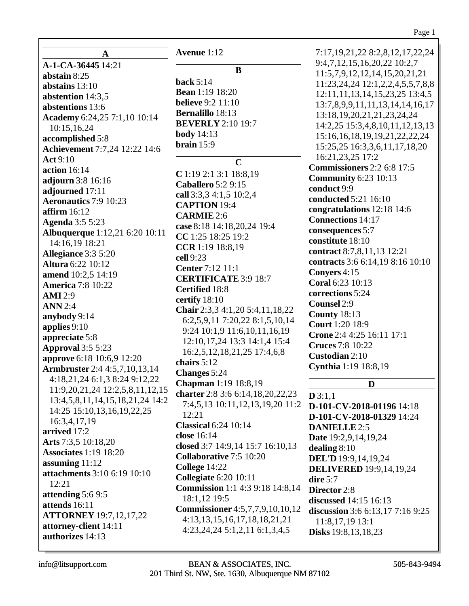|                                       | Avenue 1:12                            | 7:17, 19, 21, 22 8: 2, 8, 12, 17, 22, 24   |
|---------------------------------------|----------------------------------------|--------------------------------------------|
| A<br>A-1-CA-36445 14:21               |                                        | 9:4,7,12,15,16,20,22 10:2,7                |
| abstain 8:25                          | B                                      | 11:5,7,9,12,12,14,15,20,21,21              |
| abstains $13:10$                      | back $5:14$                            | 11:23, 24, 24 12:1, 2, 2, 4, 5, 5, 7, 8, 8 |
| abstention 14:3,5                     | <b>Bean</b> 1:19 18:20                 | 12:11, 11, 13, 14, 15, 23, 25 13:4, 5      |
| abstentions 13:6                      | <b>believe</b> 9:2 11:10               | 13:7,8,9,9,11,11,13,14,14,16,17            |
|                                       | <b>Bernalillo</b> 18:13                | 13:18, 19, 20, 21, 21, 23, 24, 24          |
| Academy 6:24,25 7:1,10 10:14          | <b>BEVERLY</b> 2:10 19:7               | 14:2,25 15:3,4,8,10,11,12,13,13            |
| 10:15,16,24                           | <b>body</b> 14:13                      | 15:16,16,18,19,19,21,22,22,24              |
| accomplished 5:8                      | brain $15:9$                           | 15:25,25 16:3,3,6,11,17,18,20              |
| <b>Achievement</b> 7:7,24 12:22 14:6  |                                        | 16:21,23,25 17:2                           |
| <b>Act</b> 9:10<br>action 16:14       | $\mathbf C$                            | <b>Commissioners</b> 2:2 6:8 17:5          |
|                                       | $C$ 1:19 2:1 3:1 18:8,19               | <b>Community 6:23 10:13</b>                |
| adjourn 3:8 16:16                     | <b>Caballero</b> 5:2 9:15              | conduct 9:9                                |
| adjourned 17:11                       | call 3:3,3 4:1,5 10:2,4                | conducted 5:21 16:10                       |
| <b>Aeronautics</b> 7:9 10:23          | <b>CAPTION 19:4</b>                    | congratulations 12:18 14:6                 |
| affirm $16:12$                        | <b>CARMIE</b> 2:6                      | <b>Connections</b> 14:17                   |
| <b>Agenda</b> 3:5 5:23                | case 8:18 14:18,20,24 19:4             | consequences 5:7                           |
| <b>Albuquerque</b> 1:12,21 6:20 10:11 | CC 1:25 18:25 19:2                     | constitute 18:10                           |
| 14:16,19 18:21                        | CCR 1:19 18:8,19                       | contract 8:7,8,11,13 12:21                 |
| Allegiance 3:3 5:20                   | cell 9:23                              | contracts 3:6 6:14,19 8:16 10:10           |
| <b>Altura 6:22 10:12</b>              | Center 7:12 11:1                       | Conyers 4:15                               |
| amend 10:2,5 14:19                    | <b>CERTIFICATE 3:9 18:7</b>            | Coral 6:23 10:13                           |
| <b>America</b> 7:8 10:22              | <b>Certified</b> 18:8                  | corrections 5:24                           |
| <b>AMI</b> 2:9                        | certify 18:10                          | <b>Counsel 2:9</b>                         |
| <b>ANN</b> 2:4                        | Chair 2:3,3 4:1,20 5:4,11,18,22        | <b>County 18:13</b>                        |
| anybody 9:14                          | 6:2,5,9,11 7:20,22 8:1,5,10,14         | <b>Court</b> 1:20 18:9                     |
| applies $9:10$                        | 9:24 10:1,9 11:6,10,11,16,19           | Crone 2:4 4:25 16:11 17:1                  |
| appreciate 5:8                        | 12:10, 17, 24 13:3 14:1, 4 15:4        | <b>Cruces</b> 7:8 10:22                    |
| <b>Approval</b> 3:5 5:23              | 16:2,5,12,18,21,25 17:4,6,8            | Custodian 2:10                             |
| approve 6:18 10:6,9 12:20             | chairs 5:12                            | Cynthia 1:19 18:8,19                       |
| <b>Armbruster</b> 2:4 4:5,7,10,13,14  | <b>Changes</b> 5:24                    |                                            |
| 4:18,21,24 6:1,3 8:24 9:12,22         | <b>Chapman</b> 1:19 18:8,19            | D                                          |
| 11:9,20,21,24 12:2,5,8,11,12,15       | charter 2:8 3:6 6:14,18,20,22,23       | D3:1,1                                     |
| 13:4,5,8,11,14,15,18,21,24 14:2       | 7:4,5,13 10:11,12,13,19,20 11:2        | D-101-CV-2018-01196 14:18                  |
| 14:25 15:10,13,16,19,22,25            | 12:21                                  | D-101-CV-2018-01329 14:24                  |
| 16:3,4,17,19                          | <b>Classical 6:24 10:14</b>            | <b>DANIELLE 2:5</b>                        |
| arrived 17:2                          | close 16:14                            | Date 19:2,9,14,19,24                       |
| Arts 7:3,5 10:18,20                   | closed 3:7 14:9,14 15:7 16:10,13       | dealing $8:10$                             |
| <b>Associates 1:19 18:20</b>          | <b>Collaborative 7:5 10:20</b>         | <b>DEL'D</b> 19:9,14,19,24                 |
| assuming $11:12$                      | College 14:22                          | <b>DELIVERED</b> 19:9,14,19,24             |
| attachments 3:10 6:19 10:10           | <b>Collegiate 6:20 10:11</b>           | dire $5:7$                                 |
| 12:21                                 | <b>Commission</b> 1:1 4:3 9:18 14:8,14 | Director 2:8                               |
| attending 5:6 9:5                     | 18:1,12 19:5                           | discussed 14:15 16:13                      |
| attends 16:11                         | <b>Commissioner</b> 4:5,7,7,9,10,10,12 | discussion 3:6 6:13,17 7:16 9:25           |
| <b>ATTORNEY</b> 19:7,12,17,22         | 4:13, 13, 15, 16, 17, 18, 18, 21, 21   | 11:8, 17, 19 13:1                          |
| attorney-client 14:11                 | $4:23,24,24$ 5:1,2,11 6:1,3,4,5        | <b>Disks</b> 19:8, 13, 18, 23              |
| authorizes 14:13                      |                                        |                                            |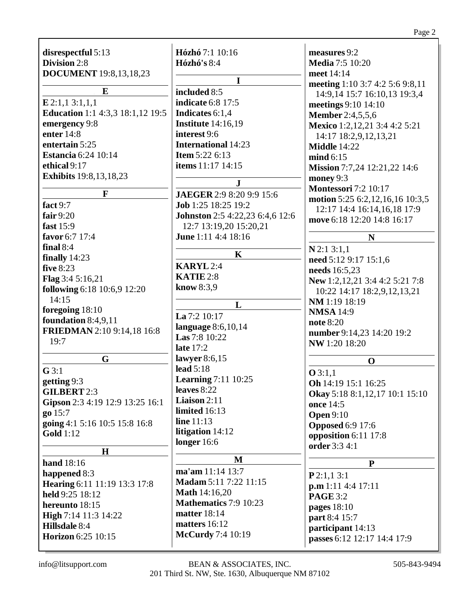| disrespectful 5:13<br>Division 2:8<br><b>DOCUMENT</b> 19:8,13,18,23<br>E<br>E 2:1,1 3:1,1,1<br><b>Education</b> 1:1 4:3,3 18:1,12 19:5<br>emergency 9:8<br>enter 14:8<br>entertain 5:25<br><b>Estancia</b> 6:24 10:14<br>ethical 9:17<br><b>Exhibits</b> 19:8, 13, 18, 23 | Hózhó 7:1 10:16<br><b>Hózhó's 8:4</b><br>$\mathbf I$<br>included 8:5<br><b>indicate</b> 6:8 17:5<br>Indicates 6:1,4<br><b>Institute</b> 14:16,19<br>interest 9:6<br><b>International 14:23</b><br><b>Item 5:22 6:13</b><br>items 11:17 14:15<br>$\mathbf{J}$ | measures 9:2<br><b>Media 7:5 10:20</b><br>meet 14:14<br>meeting 1:10 3:7 4:2 5:6 9:8,11<br>14:9,14 15:7 16:10,13 19:3,4<br>meetings 9:10 14:10<br><b>Member</b> 2:4,5,5,6<br>Mexico 1:2,12,21 3:4 4:2 5:21<br>14:17 18:2,9,12,13,21<br><b>Middle</b> 14:22<br>mind 6:15<br>Mission 7:7,24 12:21,22 14:6<br>money 9:3<br><b>Montessori</b> 7:2 10:17 |
|---------------------------------------------------------------------------------------------------------------------------------------------------------------------------------------------------------------------------------------------------------------------------|--------------------------------------------------------------------------------------------------------------------------------------------------------------------------------------------------------------------------------------------------------------|-----------------------------------------------------------------------------------------------------------------------------------------------------------------------------------------------------------------------------------------------------------------------------------------------------------------------------------------------------|
| F                                                                                                                                                                                                                                                                         | JAEGER 2:9 8:20 9:9 15:6                                                                                                                                                                                                                                     | motion 5:25 6:2,12,16,16 10:3,5                                                                                                                                                                                                                                                                                                                     |
| fact 9:7                                                                                                                                                                                                                                                                  | Job 1:25 18:25 19:2                                                                                                                                                                                                                                          | 12:17 14:4 16:14,16,18 17:9                                                                                                                                                                                                                                                                                                                         |
| fair $9:20$                                                                                                                                                                                                                                                               | Johnston 2:5 4:22,23 6:4,6 12:6                                                                                                                                                                                                                              | move 6:18 12:20 14:8 16:17                                                                                                                                                                                                                                                                                                                          |
| fast $15:9$                                                                                                                                                                                                                                                               | 12:7 13:19,20 15:20,21<br>June 1:11 4:4 18:16                                                                                                                                                                                                                |                                                                                                                                                                                                                                                                                                                                                     |
| favor 6:7 17:4<br>final $8:4$                                                                                                                                                                                                                                             |                                                                                                                                                                                                                                                              | N                                                                                                                                                                                                                                                                                                                                                   |
| finally $14:23$                                                                                                                                                                                                                                                           | $\mathbf K$                                                                                                                                                                                                                                                  | $N$ 2:1 3:1,1                                                                                                                                                                                                                                                                                                                                       |
| <b>five 8:23</b>                                                                                                                                                                                                                                                          | <b>KARYL</b> 2:4                                                                                                                                                                                                                                             | need 5:12 9:17 15:1,6<br>needs 16:5,23                                                                                                                                                                                                                                                                                                              |
| Flag 3:4 5:16,21                                                                                                                                                                                                                                                          | KATIE 2:8                                                                                                                                                                                                                                                    |                                                                                                                                                                                                                                                                                                                                                     |
| following 6:18 10:6,9 12:20                                                                                                                                                                                                                                               | know 8:3,9                                                                                                                                                                                                                                                   | New 1:2,12,21 3:4 4:2 5:21 7:8<br>10:22 14:17 18:2,9,12,13,21                                                                                                                                                                                                                                                                                       |
| 14:15                                                                                                                                                                                                                                                                     |                                                                                                                                                                                                                                                              | NM 1:19 18:19                                                                                                                                                                                                                                                                                                                                       |
| foregoing 18:10                                                                                                                                                                                                                                                           | L                                                                                                                                                                                                                                                            | <b>NMSA</b> 14:9                                                                                                                                                                                                                                                                                                                                    |
| foundation 8:4,9,11                                                                                                                                                                                                                                                       | La 7:2 10:17                                                                                                                                                                                                                                                 | <b>note</b> 8:20                                                                                                                                                                                                                                                                                                                                    |
| <b>FRIEDMAN</b> 2:10 9:14,18 16:8                                                                                                                                                                                                                                         | language 8:6,10,14                                                                                                                                                                                                                                           | number 9:14,23 14:20 19:2                                                                                                                                                                                                                                                                                                                           |
| 19:7                                                                                                                                                                                                                                                                      | Las 7:8 10:22                                                                                                                                                                                                                                                | NW 1:20 18:20                                                                                                                                                                                                                                                                                                                                       |
|                                                                                                                                                                                                                                                                           | late $17:2$                                                                                                                                                                                                                                                  |                                                                                                                                                                                                                                                                                                                                                     |
| G                                                                                                                                                                                                                                                                         | lawyer $8:6,15$<br>lead $5:18$                                                                                                                                                                                                                               | $\mathbf 0$                                                                                                                                                                                                                                                                                                                                         |
| G3:1                                                                                                                                                                                                                                                                      | <b>Learning</b> 7:11 10:25                                                                                                                                                                                                                                   | Q3:1,1                                                                                                                                                                                                                                                                                                                                              |
| getting 9:3                                                                                                                                                                                                                                                               | leaves 8:22                                                                                                                                                                                                                                                  | Oh 14:19 15:1 16:25                                                                                                                                                                                                                                                                                                                                 |
| <b>GILBERT 2:3</b>                                                                                                                                                                                                                                                        | Liaison 2:11                                                                                                                                                                                                                                                 | Okay 5:18 8:1,12,17 10:1 15:10                                                                                                                                                                                                                                                                                                                      |
| Gipson 2:3 4:19 12:9 13:25 16:1<br>go 15:7                                                                                                                                                                                                                                | limited 16:13                                                                                                                                                                                                                                                | once 14:5                                                                                                                                                                                                                                                                                                                                           |
| going 4:1 5:16 10:5 15:8 16:8                                                                                                                                                                                                                                             | line 11:13                                                                                                                                                                                                                                                   | <b>Open 9:10</b>                                                                                                                                                                                                                                                                                                                                    |
| <b>Gold</b> 1:12                                                                                                                                                                                                                                                          | litigation 14:12                                                                                                                                                                                                                                             | <b>Opposed 6:9 17:6</b>                                                                                                                                                                                                                                                                                                                             |
|                                                                                                                                                                                                                                                                           | longer $16:6$                                                                                                                                                                                                                                                | opposition 6:11 17:8<br>order 3:3 4:1                                                                                                                                                                                                                                                                                                               |
| $\mathbf H$                                                                                                                                                                                                                                                               |                                                                                                                                                                                                                                                              |                                                                                                                                                                                                                                                                                                                                                     |
| hand 18:16                                                                                                                                                                                                                                                                | M                                                                                                                                                                                                                                                            | ${\bf P}$                                                                                                                                                                                                                                                                                                                                           |
| happened 8:3                                                                                                                                                                                                                                                              | ma'am 11:14 13:7                                                                                                                                                                                                                                             | P2:1,13:1                                                                                                                                                                                                                                                                                                                                           |
| Hearing 6:11 11:19 13:3 17:8                                                                                                                                                                                                                                              | Madam 5:11 7:22 11:15                                                                                                                                                                                                                                        | p.m 1:11 4:4 17:11                                                                                                                                                                                                                                                                                                                                  |
| held 9:25 18:12                                                                                                                                                                                                                                                           | <b>Math</b> 14:16,20                                                                                                                                                                                                                                         | <b>PAGE 3:2</b>                                                                                                                                                                                                                                                                                                                                     |
| hereunto 18:15                                                                                                                                                                                                                                                            | Mathematics 7:9 10:23                                                                                                                                                                                                                                        | pages $18:10$                                                                                                                                                                                                                                                                                                                                       |
| High 7:14 11:3 14:22                                                                                                                                                                                                                                                      | <b>matter</b> 18:14<br>matters 16:12                                                                                                                                                                                                                         | part 8:4 15:7                                                                                                                                                                                                                                                                                                                                       |
| Hillsdale 8:4                                                                                                                                                                                                                                                             | <b>McCurdy</b> 7:4 10:19                                                                                                                                                                                                                                     | participant 14:13                                                                                                                                                                                                                                                                                                                                   |
| Horizon 6:25 10:15                                                                                                                                                                                                                                                        |                                                                                                                                                                                                                                                              | passes 6:12 12:17 14:4 17:9                                                                                                                                                                                                                                                                                                                         |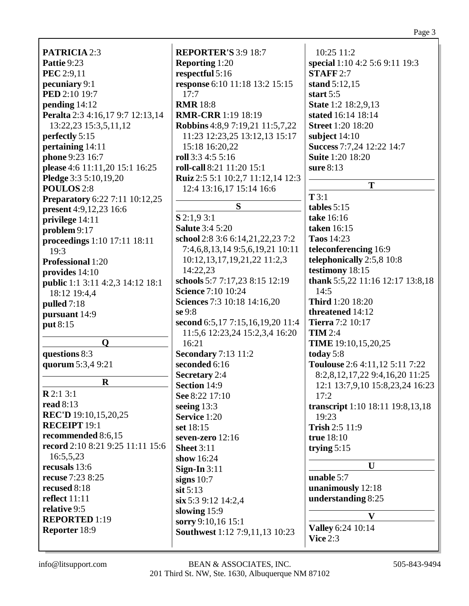**PATRICIA** 2:3 **Pattie** 9:23 **PEC** 2:9,11 **pecuniary** 9:1 **PED** 2:10 19:7 **pending** 14:12 **Peralta** 2:3 4:16,17 9:7 12:13,14 13:22,23 15:3,5,11,12 **perfectly** 5:15 **pertaining** 14:11 **phone** 9:23 16:7 **please** 4:6 11:11,20 15:1 16:25 **Pledge** 3:3 5:10,19,20 **POULOS** 2:8 **Preparatory** 6:22 7:11 10:12,25 **present** 4:9,12,23 16:6 **privilege** 14:11 **problem** 9:17 **proceedings** 1:10 17:11 18:11 19:3 **Professional** 1:20 **provides** 14:10 **public** 1:1 3:11 4:2,3 14:12 18:1 18:12 19:4,4 **pulled** 7:18 **pursuant** 14:9 **put** 8:15 **Q questions** 8:3 **quorum** 5:3,4 9:21 **R R** 2:1 3:1 **read** 8:13 **REC'D** 19:10,15,20,25 **RECEIPT** 19:1 **recommended** 8:6,15 **record** 2:10 8:21 9:25 11:11 15:6 16:5,5,23 **recusals** 13:6 **recuse** 7:23 8:25 **recused** 8:18 **reflect** 11:11 **relative** 9:5 **REPORTED** 1:19 **Reporter** 18:9

**REPORTER'S** 3:9 18:7 **Reporting** 1:20 **respectful** 5:16 **response** 6:10 11:18 13:2 15:15 17:7 **RMR** 18:8 **RMR-CRR** 1:19 18:19 **Robbins** 4:8,9 7:19,21 11:5,7,22 11:23 12:23,25 13:12,13 15:17 15:18 16:20,22 **roll** 3:3 4:5 5:16 **roll-call** 8:21 11:20 15:1 **Ruiz** 2:5 5:1 10:2,7 11:12,14 12:3 12:4 13:16,17 15:14 16:6 **S S** 2:1,9 3:1 **Salute** 3:4 5:20 **school** 2:8 3:6 6:14,21,22,23 7:2 7:4,6,8,13,14 9:5,6,19,21 10:11 10:12,13,17,19,21,22 11:2,3 14:22,23 **schools** 5:7 7:17,23 8:15 12:19 **Science** 7:10 10:24 **Sciences** 7:3 10:18 14:16,20 **se** 9:8 **second** 6:5,17 7:15,16,19,20 11:4 11:5,6 12:23,24 15:2,3,4 16:20 16:21 **Secondary** 7:13 11:2 **seconded** 6:16 **Secretary** 2:4 **Section** 14:9 **See** 8:22 17:10 **seeing** 13:3 **Service** 1:20 **set** 18:15 **seven-zero** 12:16 **Sheet** 3:11 **show** 16:24 **Sign-In** 3:11 **signs** 10:7 **sit** 5:13 **six** 5:3 9:12 14:2,4 **slowing** 15:9 **sorry** 9:10,16 15:1 **Southwest** 1:12 7:9,11,13 10:23

10:25 11:2 **special** 1:10 4:2 5:6 9:11 19:3 **STAFF** 2:7 **stand** 5:12,15 **start** 5:5 **State** 1:2 18:2,9,13 **stated** 16:14 18:14 **Street** 1:20 18:20 **subject** 14:10 **Success** 7:7,24 12:22 14:7 **Suite** 1:20 18:20 **sure** 8:13 **T T** 3:1 **tables** 5:15 **take** 16:16 **taken** 16:15 **Taos** 14:23 **teleconferencing** 16:9 **telephonically** 2:5,8 10:8 **testimony** 18:15 **thank** 5:5,22 11:16 12:17 13:8,18 14:5 **Third** 1:20 18:20 **threatened** 14:12 **Tierra** 7:2 10:17 **TIM** 2:4 **TIME** 19:10,15,20,25 **today** 5:8 **Toulouse** 2:6 4:11,12 5:11 7:22 8:2,8,12,17,22 9:4,16,20 11:25 12:1 13:7,9,10 15:8,23,24 16:23 17:2 **transcript** 1:10 18:11 19:8,13,18 19:23 **Trish** 2:5 11:9 **true** 18:10 **trying** 5:15 **U unable** 5:7 **unanimously** 12:18 **understanding** 8:25 **V Valley** 6:24 10:14 **Vice** 2:3